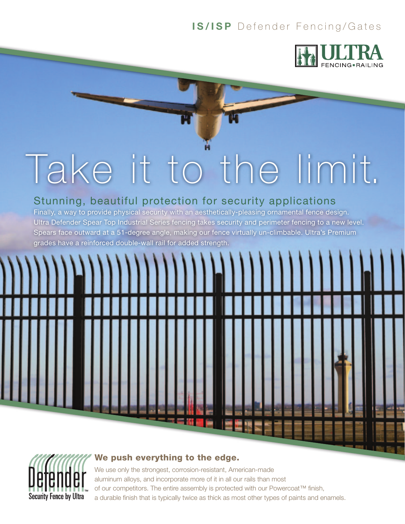## **IS/ISP** Defender Fencing/Gates



# Take it to the limit.

## Stunning, beautiful protection for security applications

Finally, a way to provide physical security with an aesthetically-pleasing ornamental fence design. Ultra Defender Spear Top Industrial Series fencing takes security and perimeter fencing to a new level. Spears face outward at a 51-degree angle, making our fence virtually un-climbable. Ultra's Premium grades have a reinforced double-wall rail for added strength.



**Security Fence by Ultra** 



 $\frac{1}{2}$